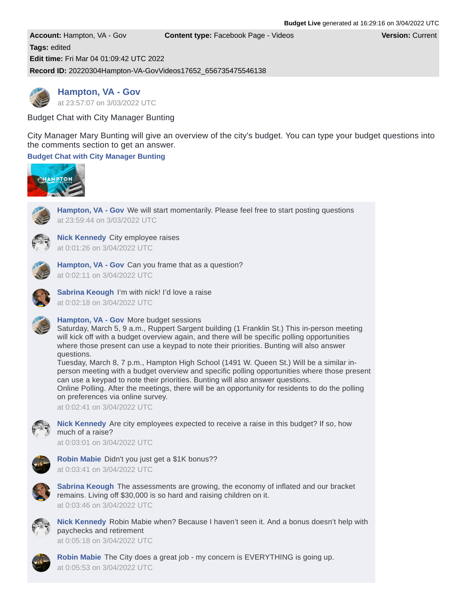```
Account: Hampton, VA - Gov Content type: Facebook Page - Videos Version: Current
Tags: edited
Edit time: Fri Mar 04 01:09:42 UTC 2022
Record ID: 20220304Hampton-VA-GovVideos17652_656735475546138
```
**[Hampton, VA - Gov](https://www.facebook.com/366516491210)** at 23:57:07 on [3/03/2022](https://www.facebook.com/230968829070813/videos/656735475546138) UTC

Budget Chat with City Manager Bunting

City Manager Mary Bunting will give an overview of the city's budget. You can type your budget questions into the comments section to get an answer.

# **Budget Chat with City [Manager](https://www.facebook.com/230968829070813/videos/656735475546138) Bunting**



**[Hampton,](https://www.facebook.com/366516491210) VA - Gov** We will start momentarily. Please feel free to start posting questions at 23:59:44 on 3/03/2022 UTC



**Nick [Kennedy](https://www.facebook.com/2181245988605978)** City employee raises at 0:01:26 on 3/04/2022 UTC



**[Hampton,](https://www.facebook.com/366516491210) VA - Gov** Can you frame that as a question? at 0:02:11 on 3/04/2022 UTC



**Sabrina [Keough](https://www.facebook.com/1842297259179931)** I'm with nick! I'd love a raise at 0:02:18 on 3/04/2022 UTC

## **[Hampton,](https://www.facebook.com/366516491210) VA - Gov** More budget sessions

Saturday, March 5, 9 a.m., Ruppert Sargent building (1 Franklin St.) This in-person meeting will kick off with a budget overview again, and there will be specific polling opportunities where those present can use a keypad to note their priorities. Bunting will also answer questions.

Tuesday, March 8, 7 p.m., Hampton High School (1491 W. Queen St.) Will be a similar inperson meeting with a budget overview and specific polling opportunities where those present can use a keypad to note their priorities. Bunting will also answer questions. Online Polling. After the meetings, there will be an opportunity for residents to do the polling

on preferences via online survey.

at 0:02:41 on 3/04/2022 UTC



**Nick [Kennedy](https://www.facebook.com/2181245988605978)** Are city employees expected to receive a raise in this budget? If so, how much of a raise?

at 0:03:01 on 3/04/2022 UTC



**Robin [Mabie](https://www.facebook.com/1762184527241363)** Didn't you just get a \$1K bonus?? at 0:03:41 on 3/04/2022 UTC



**Sabrina [Keough](https://www.facebook.com/1842297259179931)** The assessments are growing, the economy of inflated and our bracket remains. Living off \$30,000 is so hard and raising children on it. at 0:03:46 on 3/04/2022 UTC



**Nick [Kennedy](https://www.facebook.com/2181245988605978)** Robin Mabie when? Because I haven't seen it. And a bonus doesn't help with paychecks and retirement

at 0:05:18 on 3/04/2022 UTC



**Robin [Mabie](https://www.facebook.com/1762184527241363)** The City does a great job - my concern is EVERYTHING is going up. at 0:05:53 on 3/04/2022 UTC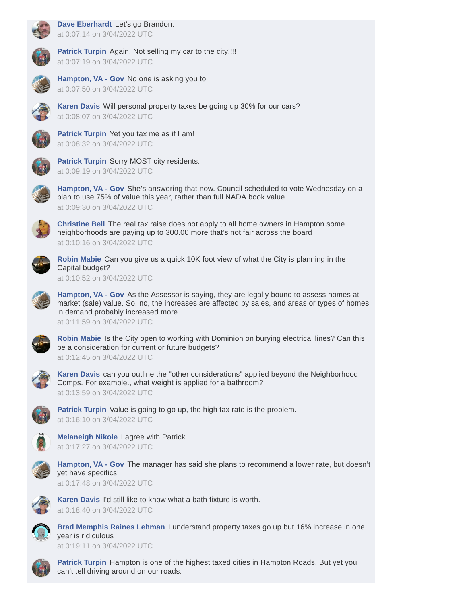

**Dave [Eberhardt](https://www.facebook.com/1912033275550223)** Let's go Brandon. at 0:07:14 on 3/04/2022 UTC



**[Patrick](https://www.facebook.com/1916763975096545) Turpin** Again, Not selling my car to the city!!!! at 0:07:19 on 3/04/2022 UTC



**[Hampton,](https://www.facebook.com/366516491210) VA - Gov** No one is asking you to at 0:07:50 on 3/04/2022 UTC



**[Karen](https://www.facebook.com/5080782921981125) Davis** Will personal property taxes be going up 30% for our cars? at 0:08:07 on 3/04/2022 UTC



**[Patrick](https://www.facebook.com/1916763975096545) Turpin** Yet you tax me as if I am! at 0:08:32 on 3/04/2022 UTC



**[Patrick](https://www.facebook.com/1916763975096545) Turpin** Sorry MOST city residents. at 0:09:19 on 3/04/2022 UTC



**[Hampton,](https://www.facebook.com/366516491210) VA - Gov** She's answering that now. Council scheduled to vote Wednesday on a plan to use 75% of value this year, rather than full NADA book value at 0:09:30 on 3/04/2022 UTC



**[Christine](https://www.facebook.com/7117374891667966) Bell** The real tax raise does not apply to all home owners in Hampton some neighborhoods are paying up to 300.00 more that's not fair across the board at 0:10:16 on 3/04/2022 UTC



**Robin [Mabie](https://www.facebook.com/1762184527241363)** Can you give us a quick 10K foot view of what the City is planning in the Capital budget?

at 0:10:52 on 3/04/2022 UTC



at 0:11:59 on 3/04/2022 UTC



**Robin [Mabie](https://www.facebook.com/1762184527241363)** Is the City open to working with Dominion on burying electrical lines? Can this be a consideration for current or future budgets? at 0:12:45 on 3/04/2022 UTC



**[Karen](https://www.facebook.com/5080782921981125) Davis** can you outline the "other considerations" applied beyond the Neighborhood Comps. For example., what weight is applied for a bathroom? at 0:13:59 on 3/04/2022 UTC



**[Patrick](https://www.facebook.com/1916763975096545) Turpin** Value is going to go up, the high tax rate is the problem. at 0:16:10 on 3/04/2022 UTC



**[Melaneigh](https://www.facebook.com/1958089634307872) Nikole** I agree with Patrick at 0:17:27 on 3/04/2022 UTC



**[Hampton,](https://www.facebook.com/366516491210) VA - Gov** The manager has said she plans to recommend a lower rate, but doesn't yet have specifics

at 0:17:48 on 3/04/2022 UTC



**[Karen](https://www.facebook.com/5080782921981125) Davis** I'd still like to know what a bath fixture is worth. at 0:18:40 on 3/04/2022 UTC



**Brad [Memphis](https://www.facebook.com/1852066704830473) Raines Lehman** I understand property taxes go up but 16% increase in one year is ridiculous at 0:19:11 on 3/04/2022 UTC



**[Patrick](https://www.facebook.com/1916763975096545) Turpin** Hampton is one of the highest taxed cities in Hampton Roads. But yet you can't tell driving around on our roads.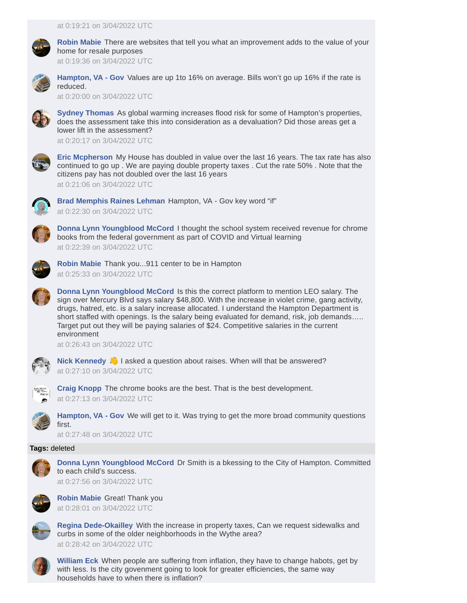

**Robin [Mabie](https://www.facebook.com/1762184527241363)** There are websites that tell you what an improvement adds to the value of your home for resale purposes

at 0:19:36 on 3/04/2022 UTC



**[Hampton,](https://www.facebook.com/366516491210) VA - Gov** Values are up 1to 16% on average. Bills won't go up 16% if the rate is reduced.

at 0:20:00 on 3/04/2022 UTC



**Sydney [Thomas](https://www.facebook.com/2442975349060584)** As global warming increases flood risk for some of Hampton's properties, does the assessment take this into consideration as a devaluation? Did those areas get a lower lift in the assessment?

at 0:20:17 on 3/04/2022 UTC



**Eric [Mcpherson](https://www.facebook.com/5045092952195579)** My House has doubled in value over the last 16 years. The tax rate has also continued to go up . We are paying double property taxes . Cut the rate 50% . Note that the citizens pay has not doubled over the last 16 years

at 0:21:06 on 3/04/2022 UTC



**Brad [Memphis](https://www.facebook.com/1852066704830473) Raines Lehman** Hampton, VA - Gov key word "if" at 0:22:30 on 3/04/2022 UTC



**Donna Lynn [Youngblood](https://www.facebook.com/1753854581407944) McCord** I thought the school system received revenue for chrome books from the federal government as part of COVID and Virtual learning at 0:22:39 on 3/04/2022 UTC



**Robin [Mabie](https://www.facebook.com/1762184527241363)** Thank you...911 center to be in Hampton at 0:25:33 on 3/04/2022 UTC



**Donna Lynn [Youngblood](https://www.facebook.com/1753854581407944) McCord** Is this the correct platform to mention LEO salary. The sign over Mercury Blvd says salary \$48,800. With the increase in violet crime, gang activity, drugs, hatred, etc. is a salary increase allocated. I understand the Hampton Department is short staffed with openings. Is the salary being evaluated for demand, risk, job demands….. Target put out they will be paying salaries of \$24. Competitive salaries in the current environment

at 0:26:43 on 3/04/2022 UTC



**Nick [Kennedy](https://www.facebook.com/2181245988605978) I** asked a question about raises. When will that be answered? at 0:27:10 on 3/04/2022 UTC



**Craig [Knopp](https://www.facebook.com/2660469810660056)** The chrome books are the best. That is the best development. at 0:27:13 on 3/04/2022 UTC



**[Hampton,](https://www.facebook.com/366516491210) VA - Gov** We will get to it. Was trying to get the more broad community questions first.

at 0:27:48 on 3/04/2022 UTC

# **Tags:** deleted



**Donna Lynn [Youngblood](https://www.facebook.com/1753854581407944) McCord** Dr Smith is a bkessing to the City of Hampton. Committed to each child's success.

at 0:27:56 on 3/04/2022 UTC



**Robin [Mabie](https://www.facebook.com/1762184527241363)** Great! Thank you at 0:28:01 on 3/04/2022 UTC



**Regina [Dede-Okailley](https://www.facebook.com/2040256935996753)** With the increase in property taxes, Can we request sidewalks and curbs in some of the older neighborhoods in the Wythe area? at 0:28:42 on 3/04/2022 UTC



**[William](https://www.facebook.com/2092549894194548) Eck** When people are suffering from inflation, they have to change habots, get by with less. Is the city govenment going to look for greater efficiencies, the same way households have to when there is inflation?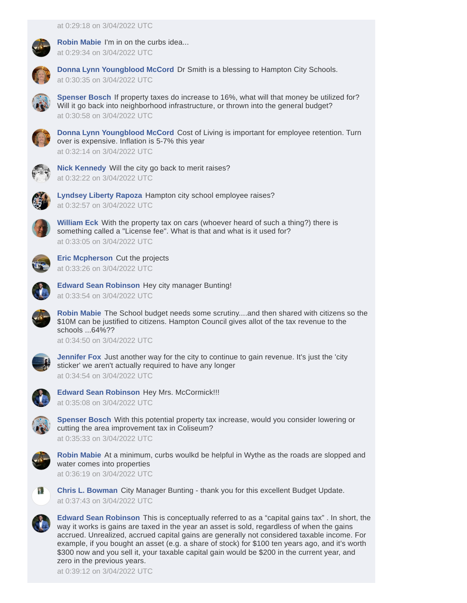

**Robin [Mabie](https://www.facebook.com/1762184527241363)** I'm in on the curbs idea... at 0:29:34 on 3/04/2022 UTC



**Donna Lynn [Youngblood](https://www.facebook.com/1753854581407944) McCord** Dr Smith is a blessing to Hampton City Schools. at 0:30:35 on 3/04/2022 UTC



**[Spenser](https://www.facebook.com/4337380946303762) Bosch** If property taxes do increase to 16%, what will that money be utilized for? Will it go back into neighborhood infrastructure, or thrown into the general budget? at 0:30:58 on 3/04/2022 UTC



**Donna Lynn [Youngblood](https://www.facebook.com/1753854581407944) McCord** Cost of Living is important for employee retention. Turn over is expensive. Inflation is 5-7% this year at 0:32:14 on 3/04/2022 UTC

**Nick [Kennedy](https://www.facebook.com/2181245988605978)** Will the city go back to merit raises? at 0:32:22 on 3/04/2022 UTC



**[Lyndsey](https://www.facebook.com/1799672516723798) Liberty Rapoza** Hampton city school employee raises? at 0:32:57 on 3/04/2022 UTC



**[William](https://www.facebook.com/2092549894194548) Eck** With the property tax on cars (whoever heard of such a thing?) there is something called a "License fee". What is that and what is it used for? at 0:33:05 on 3/04/2022 UTC



**Eric [Mcpherson](https://www.facebook.com/5045092952195579)** Cut the projects at 0:33:26 on 3/04/2022 UTC



**Edward Sean [Robinson](https://www.facebook.com/2562453473794735)** Hey city manager Bunting! at 0:33:54 on 3/04/2022 UTC

**Robin [Mabie](https://www.facebook.com/1762184527241363)** The School budget needs some scrutiny....and then shared with citizens so the \$10M can be justified to citizens. Hampton Council gives allot of the tax revenue to the schools ...64%??

at 0:34:50 on 3/04/2022 UTC



**[Jennifer](https://www.facebook.com/2040126329438297) Fox** Just another way for the city to continue to gain revenue. It's just the 'city sticker' we aren't actually required to have any longer at 0:34:54 on 3/04/2022 UTC



**Edward Sean [Robinson](https://www.facebook.com/2562453473794735)** Hey Mrs. McCormick!!! at 0:35:08 on 3/04/2022 UTC



**[Spenser](https://www.facebook.com/4337380946303762) Bosch** With this potential property tax increase, would you consider lowering or cutting the area improvement tax in Coliseum?

at 0:35:33 on 3/04/2022 UTC



**Robin [Mabie](https://www.facebook.com/1762184527241363)** At a minimum, curbs woulkd be helpful in Wythe as the roads are slopped and water comes into properties

at 0:36:19 on 3/04/2022 UTC



**Chris L. [Bowman](https://www.facebook.com/5432659943442000)** City Manager Bunting - thank you for this excellent Budget Update. at 0:37:43 on 3/04/2022 UTC



**Edward Sean [Robinson](https://www.facebook.com/2562453473794735)** This is conceptually referred to as a "capital gains tax" . In short, the way it works is gains are taxed in the year an asset is sold, regardless of when the gains accrued. Unrealized, accrued capital gains are generally not considered taxable income. For example, if you bought an asset (e.g. a share of stock) for \$100 ten years ago, and it's worth \$300 now and you sell it, your taxable capital gain would be \$200 in the current year, and zero in the previous years.

at 0:39:12 on 3/04/2022 UTC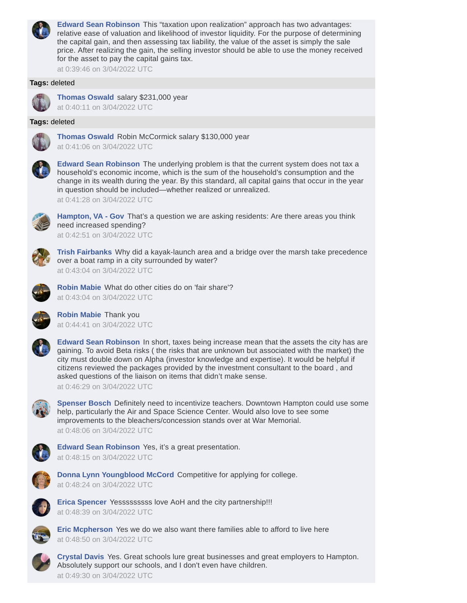

**Edward Sean [Robinson](https://www.facebook.com/2562453473794735)** This "taxation upon realization" approach has two advantages: relative ease of valuation and likelihood of investor liquidity. For the purpose of determining the capital gain, and then assessing tax liability, the value of the asset is simply the sale price. After realizing the gain, the selling investor should be able to use the money received for the asset to pay the capital gains tax.

at 0:39:46 on 3/04/2022 UTC

## **Tags:** deleted



**[Thomas](https://www.facebook.com/2128654167174138) Oswald** salary \$231,000 year

at 0:40:11 on 3/04/2022 UTC

### **Tags:** deleted



**[Thomas](https://www.facebook.com/2128654167174138) Oswald** Robin McCormick salary \$130,000 year at 0:41:06 on 3/04/2022 UTC



**Edward Sean [Robinson](https://www.facebook.com/2562453473794735)** The underlying problem is that the current system does not tax a household's economic income, which is the sum of the household's consumption and the change in its wealth during the year. By this standard, all capital gains that occur in the year in question should be included—whether realized or unrealized. at 0:41:28 on 3/04/2022 UTC



**[Hampton,](https://www.facebook.com/366516491210) VA - Gov** That's a question we are asking residents: Are there areas you think need increased spending?

at 0:42:51 on 3/04/2022 UTC



**Trish [Fairbanks](https://www.facebook.com/5251679061543531)** Why did a kayak-launch area and a bridge over the marsh take precedence over a boat ramp in a city surrounded by water? at 0:43:04 on 3/04/2022 UTC



**Robin [Mabie](https://www.facebook.com/1762184527241363)** What do other cities do on 'fair share'? at 0:43:04 on 3/04/2022 UTC



**Robin [Mabie](https://www.facebook.com/1762184527241363)** Thank you at 0:44:41 on 3/04/2022 UTC



**Edward Sean [Robinson](https://www.facebook.com/2562453473794735)** In short, taxes being increase mean that the assets the city has are gaining. To avoid Beta risks ( the risks that are unknown but associated with the market) the city must double down on Alpha (investor knowledge and expertise). It would be helpful if citizens reviewed the packages provided by the investment consultant to the board , and asked questions of the liaison on items that didn't make sense.

at 0:46:29 on 3/04/2022 UTC



**[Spenser](https://www.facebook.com/4337380946303762) Bosch** Definitely need to incentivize teachers. Downtown Hampton could use some help, particularly the Air and Space Science Center. Would also love to see some improvements to the bleachers/concession stands over at War Memorial. at 0:48:06 on 3/04/2022 UTC



**Edward Sean [Robinson](https://www.facebook.com/2562453473794735)** Yes, it's a great presentation. at 0:48:15 on 3/04/2022 UTC



**Donna Lynn [Youngblood](https://www.facebook.com/1753854581407944) McCord** Competitive for applying for college. at 0:48:24 on 3/04/2022 UTC



**Erica [Spencer](https://www.facebook.com/2123136851051488)** Yesssssssss love AoH and the city partnership!!! at 0:48:39 on 3/04/2022 UTC



**Eric [Mcpherson](https://www.facebook.com/5045092952195579)** Yes we do we also want there families able to afford to live here at 0:48:50 on 3/04/2022 UTC



**[Crystal](https://www.facebook.com/1922041394545017) Davis** Yes. Great schools lure great businesses and great employers to Hampton. Absolutely support our schools, and I don't even have children. at 0:49:30 on 3/04/2022 UTC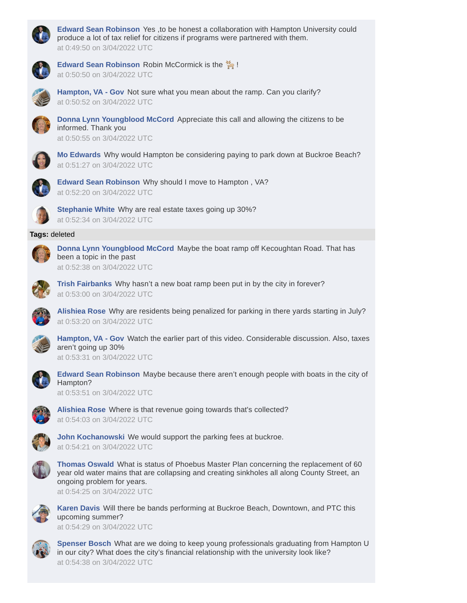

**Edward Sean [Robinson](https://www.facebook.com/2562453473794735)** Yes ,to be honest a collaboration with Hampton University could produce a lot of tax relief for citizens if programs were partnered with them. at 0:49:50 on 3/04/2022 UTC



**Edward Sean [Robinson](https://www.facebook.com/2562453473794735)** Robin McCormick is the !





**[Hampton,](https://www.facebook.com/366516491210) VA - Gov** Not sure what you mean about the ramp. Can you clarify? at 0:50:52 on 3/04/2022 UTC



**Donna Lynn [Youngblood](https://www.facebook.com/1753854581407944) McCord** Appreciate this call and allowing the citizens to be informed. Thank you at 0:50:55 on 3/04/2022 UTC



**Mo [Edwards](https://www.facebook.com/2190160481015349)** Why would Hampton be considering paying to park down at Buckroe Beach? at 0:51:27 on 3/04/2022 UTC



**Edward Sean [Robinson](https://www.facebook.com/2562453473794735)** Why should I move to Hampton , VA? at 0:52:20 on 3/04/2022 UTC



**[Stephanie](https://www.facebook.com/2287260761345059) White** Why are real estate taxes going up 30%? at 0:52:34 on 3/04/2022 UTC

## **Tags:** deleted



**Donna Lynn [Youngblood](https://www.facebook.com/1753854581407944) McCord** Maybe the boat ramp off Kecoughtan Road. That has been a topic in the past at 0:52:38 on 3/04/2022 UTC



**Trish [Fairbanks](https://www.facebook.com/5251679061543531)** Why hasn't a new boat ramp been put in by the city in forever? at 0:53:00 on 3/04/2022 UTC



**[Alishiea](https://www.facebook.com/1863275260437816) Rose** Why are residents being penalized for parking in there yards starting in July? at 0:53:20 on 3/04/2022 UTC



**[Hampton,](https://www.facebook.com/366516491210) VA - Gov** Watch the earlier part of this video. Considerable discussion. Also, taxes aren't going up 30%

at 0:53:31 on 3/04/2022 UTC



**Edward Sean [Robinson](https://www.facebook.com/2562453473794735)** Maybe because there aren't enough people with boats in the city of Hampton?

at 0:53:51 on 3/04/2022 UTC



**[Alishiea](https://www.facebook.com/1863275260437816) Rose** Where is that revenue going towards that's collected? at 0:54:03 on 3/04/2022 UTC



**John [Kochanowski](https://www.facebook.com/4706592156133247)** We would support the parking fees at buckroe. at 0:54:21 on 3/04/2022 UTC



**[Thomas](https://www.facebook.com/2128654167174138) Oswald** What is status of Phoebus Master Plan concerning the replacement of 60 year old water mains that are collapsing and creating sinkholes all along County Street, an ongoing problem for years.

at 0:54:25 on 3/04/2022 UTC



**[Karen](https://www.facebook.com/5080782921981125) Davis** Will there be bands performing at Buckroe Beach, Downtown, and PTC this upcoming summer?

at 0:54:29 on 3/04/2022 UTC



**[Spenser](https://www.facebook.com/4337380946303762) Bosch** What are we doing to keep young professionals graduating from Hampton U in our city? What does the city's financial relationship with the university look like? at 0:54:38 on 3/04/2022 UTC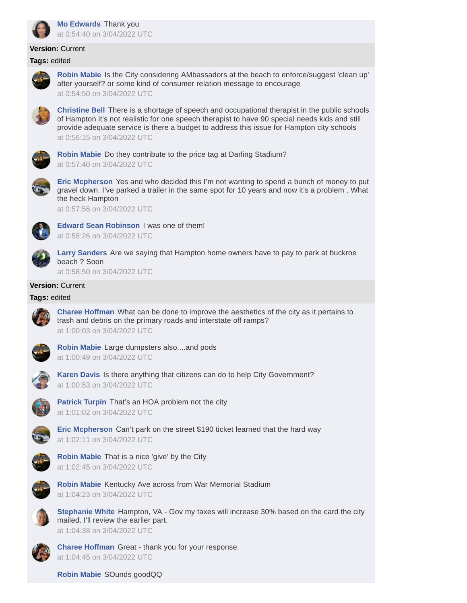

# **Version:** Current

#### **Tags:** edited



**Robin [Mabie](https://www.facebook.com/1762184527241363)** Is the City considering AMbassadors at the beach to enforce/suggest 'clean up' after yourself? or some kind of consumer relation message to encourage at 0:54:50 on 3/04/2022 UTC



**[Christine](https://www.facebook.com/7117374891667966) Bell** There is a shortage of speech and occupational therapist in the public schools of Hampton it's not realistic for one speech therapist to have 90 special needs kids and still provide adequate service is there a budget to address this issue for Hampton city schools at 0:56:15 on 3/04/2022 UTC



**Robin [Mabie](https://www.facebook.com/1762184527241363)** Do they contribute to the price tag at Darling Stadium? at 0:57:40 on 3/04/2022 UTC



**Eric [Mcpherson](https://www.facebook.com/5045092952195579)** Yes and who decided this I'm not wanting to spend a bunch of money to put gravel down. I've parked a trailer in the same spot for 10 years and now it's a problem . What the heck Hampton

at 0:57:56 on 3/04/2022 UTC



**Edward Sean [Robinson](https://www.facebook.com/2562453473794735)** I was one of them! at 0:58:26 on 3/04/2022 UTC



**Larry [Sanders](https://www.facebook.com/2477464575643431)** Are we saying that Hampton home owners have to pay to park at buckroe beach ? Soon

at 0:58:50 on 3/04/2022 UTC

# **Version:** Current

### **Tags:** edited



**Charee [Hoffman](https://www.facebook.com/4793549514068377)** What can be done to improve the aesthetics of the city as it pertains to trash and debris on the primary roads and interstate off ramps? at 1:00:03 on 3/04/2022 UTC



**Robin [Mabie](https://www.facebook.com/1762184527241363)** Large dumpsters also....and pods at 1:00:49 on 3/04/2022 UTC



**[Karen](https://www.facebook.com/5080782921981125) Davis** Is there anything that citizens can do to help City Government? at 1:00:53 on 3/04/2022 UTC



**[Patrick](https://www.facebook.com/1916763975096545) Turpin** That's an HOA problem not the city at 1:01:02 on 3/04/2022 UTC



**Eric [Mcpherson](https://www.facebook.com/5045092952195579)** Can't park on the street \$190 ticket learned that the hard way at 1:02:11 on 3/04/2022 UTC



**Robin [Mabie](https://www.facebook.com/1762184527241363)** That is a nice 'give' by the City at 1:02:45 on 3/04/2022 UTC



**Robin [Mabie](https://www.facebook.com/1762184527241363)** Kentucky Ave across from War Memorial Stadium at 1:04:23 on 3/04/2022 UTC



**[Stephanie](https://www.facebook.com/2287260761345059) White** Hampton, VA - Gov my taxes will increase 30% based on the card the city mailed. I'll review the earlier part. at 1:04:38 on 3/04/2022 UTC



**Charee [Hoffman](https://www.facebook.com/4793549514068377)** Great - thank you for your response. at 1:04:45 on 3/04/2022 UTC

**Robin [Mabie](https://www.facebook.com/1762184527241363)** SOunds goodQQ